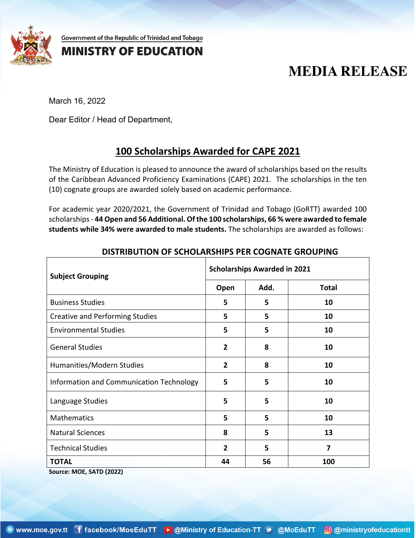

Government of the Republic of Trinidad and Tobago

## **MINISTRY OF EDUCATION**

# **MEDIA RELEASE**

March 16, 2022

Dear Editor / Head of Department,

## **100 Scholarships Awarded for CAPE 2021**

The Ministry of Education is pleased to announce the award of scholarships based on the results of the Caribbean Advanced Proficiency Examinations (CAPE) 2021. The scholarships in the ten (10) cognate groups are awarded solely based on academic performance.

For academic year 2020/2021, the Government of Trinidad and Tobago (GoRTT) awarded 100 scholarships- **44 Open and 56 Additional. Ofthe 100 scholarships, 66 % were awarded to female students while 34% were awarded to male students.** The scholarships are awarded as follows:

| <b>Subject Grouping</b>                  | <b>Scholarships Awarded in 2021</b> |      |              |
|------------------------------------------|-------------------------------------|------|--------------|
|                                          | Open                                | Add. | <b>Total</b> |
| <b>Business Studies</b>                  | 5                                   | 5    | 10           |
| <b>Creative and Performing Studies</b>   | 5                                   | 5    | 10           |
| <b>Environmental Studies</b>             | 5                                   | 5    | 10           |
| <b>General Studies</b>                   | $\overline{2}$                      | 8    | 10           |
| Humanities/Modern Studies                | $\overline{2}$                      | 8    | 10           |
| Information and Communication Technology | 5                                   | 5    | 10           |
| Language Studies                         | 5                                   | 5    | 10           |
| Mathematics                              | 5                                   | 5    | 10           |
| <b>Natural Sciences</b>                  | 8                                   | 5    | 13           |
| <b>Technical Studies</b>                 | $\overline{2}$                      | 5    | 7            |
| <b>TOTAL</b>                             | 44                                  | 56   | 100          |

#### **DISTRIBUTION OF SCHOLARSHIPS PER COGNATE GROUPING**

**Source: MOE, SATD (2022)**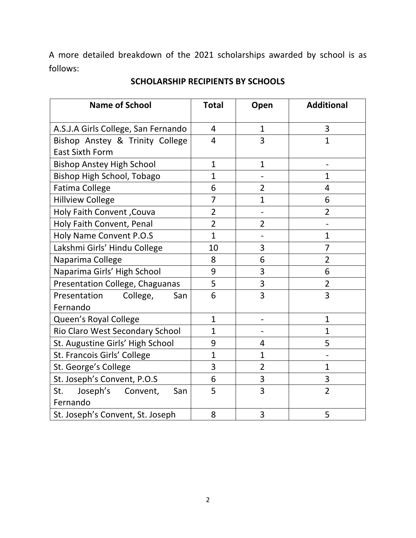A more detailed breakdown of the 2021 scholarships awarded by school is as follows:

| <b>Name of School</b>               | <b>Total</b>   | Open           | <b>Additional</b> |
|-------------------------------------|----------------|----------------|-------------------|
| A.S.J.A Girls College, San Fernando | 4              | $\mathbf{1}$   | 3                 |
| Bishop Anstey & Trinity College     | $\overline{4}$ | 3              | $\mathbf{1}$      |
| <b>East Sixth Form</b>              |                |                |                   |
| <b>Bishop Anstey High School</b>    | $\mathbf{1}$   | $\mathbf{1}$   |                   |
| Bishop High School, Tobago          | $\mathbf{1}$   |                | $\mathbf{1}$      |
| <b>Fatima College</b>               | 6              | $\overline{2}$ | 4                 |
| <b>Hillview College</b>             | $\overline{7}$ | $\overline{1}$ | 6                 |
| <b>Holy Faith Convent, Couva</b>    | $\overline{2}$ |                | $\overline{2}$    |
| Holy Faith Convent, Penal           | $\overline{2}$ | $\overline{2}$ |                   |
| Holy Name Convent P.O.S             | $\mathbf{1}$   |                | $\mathbf{1}$      |
| Lakshmi Girls' Hindu College        | 10             | 3              | $\overline{7}$    |
| Naparima College                    | 8              | 6              | $\overline{2}$    |
| Naparima Girls' High School         | 9              | 3              | 6                 |
| Presentation College, Chaguanas     | 5              | 3              | $\overline{2}$    |
| Presentation College,<br>San        | 6              | 3              | 3                 |
| Fernando                            |                |                |                   |
| Queen's Royal College               | $\mathbf{1}$   |                | $\mathbf{1}$      |
| Rio Claro West Secondary School     | $\mathbf{1}$   |                | $\mathbf{1}$      |
| St. Augustine Girls' High School    | 9              | 4              | 5                 |
| St. Francois Girls' College         | $\mathbf{1}$   | $\overline{1}$ |                   |
| St. George's College                | 3              | $\overline{2}$ | $\mathbf{1}$      |
| St. Joseph's Convent, P.O.S         | 6              | 3              | 3                 |
| Joseph's<br>St.<br>Convent,<br>San  | 5              | 3              | $\overline{2}$    |
| Fernando                            |                |                |                   |
| St. Joseph's Convent, St. Joseph    | 8              | 3              | 5                 |

### **SCHOLARSHIP RECIPIENTS BY SCHOOLS**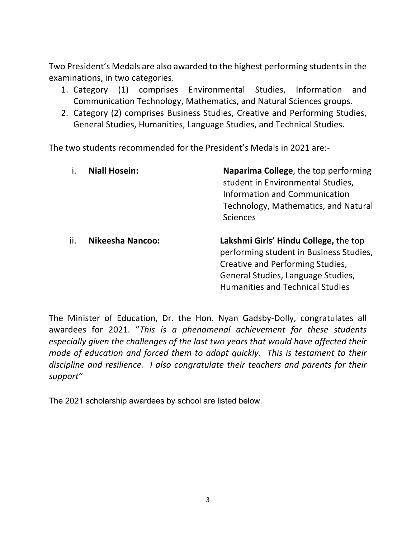Two President's Medals are also awarded to the highest performing studentsin the examinations, in two categories.

- 1. Category (1) comprises Environmental Studies, Information and Communication Technology, Mathematics, and Natural Sciences groups.
- 2. Category (2) comprises Business Studies, Creative and Performing Studies, General Studies, Humanities, Language Studies, and Technical Studies.

The two students recommended for the President's Medals in 2021 are:-

|     | <b>Niall Hosein:</b>    | Naparima College, the top performing<br>student in Environmental Studies,<br>Information and Communication<br>Technology, Mathematics, and Natural<br><b>Sciences</b>                                 |
|-----|-------------------------|-------------------------------------------------------------------------------------------------------------------------------------------------------------------------------------------------------|
| ii. | <b>Nikeesha Nancoo:</b> | Lakshmi Girls' Hindu College, the top<br>performing student in Business Studies,<br>Creative and Performing Studies,<br>General Studies, Language Studies,<br><b>Humanities and Technical Studies</b> |

The Minister of Education, Dr. the Hon. Nyan Gadsby-Dolly, congratulates all awardees for 2021. "*This is a phenomenal achievement for these students especially given the challenges of the last two years that would have affected their mode of education and forced them to adapt quickly. This is testament to their discipline and resilience. I also congratulate their teachers and parents for their support"*

The 2021 scholarship awardees by school are listed below.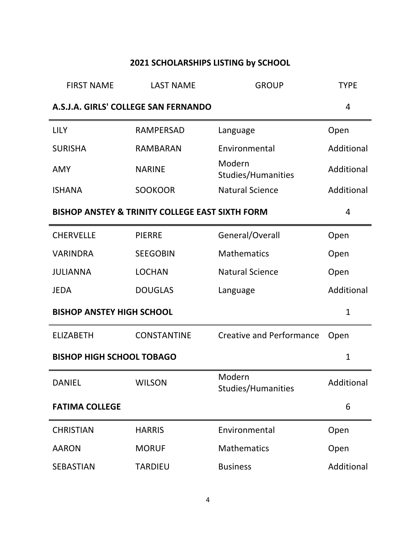# **2021 SCHOLARSHIPS LISTING by SCHOOL**

| <b>FIRST NAME</b>                | <b>LAST NAME</b>                                | <b>GROUP</b>                        | <b>TYPE</b>  |
|----------------------------------|-------------------------------------------------|-------------------------------------|--------------|
|                                  | A.S.J.A. GIRLS' COLLEGE SAN FERNANDO            |                                     | 4            |
| <b>LILY</b>                      | <b>RAMPERSAD</b>                                | Language                            | Open         |
| <b>SURISHA</b>                   | <b>RAMBARAN</b>                                 | Environmental                       | Additional   |
| <b>AMY</b>                       | <b>NARINE</b>                                   | Modern<br>Studies/Humanities        | Additional   |
| <b>ISHANA</b>                    | <b>SOOKOOR</b>                                  | <b>Natural Science</b>              | Additional   |
|                                  | BISHOP ANSTEY & TRINITY COLLEGE EAST SIXTH FORM |                                     | 4            |
| <b>CHERVELLE</b>                 | <b>PIERRE</b>                                   | General/Overall                     | Open         |
| <b>VARINDRA</b>                  | <b>SEEGOBIN</b>                                 | <b>Mathematics</b>                  | Open         |
| <b>JULIANNA</b>                  | <b>LOCHAN</b>                                   | <b>Natural Science</b>              | Open         |
| <b>JEDA</b>                      | <b>DOUGLAS</b>                                  | Language                            | Additional   |
| <b>BISHOP ANSTEY HIGH SCHOOL</b> |                                                 |                                     | $\mathbf{1}$ |
| <b>ELIZABETH</b>                 | <b>CONSTANTINE</b>                              | <b>Creative and Performance</b>     | Open         |
| <b>BISHOP HIGH SCHOOL TOBAGO</b> |                                                 |                                     | $\mathbf{1}$ |
| <b>DANIEL</b>                    | <b>WILSON</b>                                   | Modern<br><b>Studies/Humanities</b> | Additional   |
| <b>FATIMA COLLEGE</b>            |                                                 |                                     | 6            |
| <b>CHRISTIAN</b>                 | <b>HARRIS</b>                                   | Environmental                       | Open         |
| <b>AARON</b>                     | <b>MORUF</b>                                    | <b>Mathematics</b>                  | Open         |
| <b>SEBASTIAN</b>                 | <b>TARDIEU</b>                                  | <b>Business</b>                     | Additional   |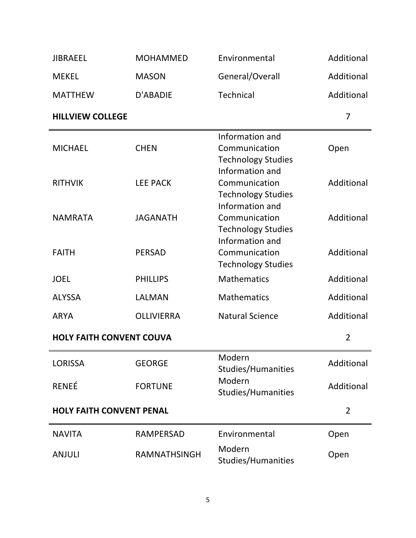| <b>JIBRAEEL</b>                 | <b>MOHAMMED</b>   | Environmental                                                                    | Additional     |
|---------------------------------|-------------------|----------------------------------------------------------------------------------|----------------|
| <b>MEKEL</b>                    | <b>MASON</b>      | General/Overall                                                                  | Additional     |
| <b>MATTHEW</b>                  | D'ABADIE          | <b>Technical</b>                                                                 | Additional     |
| <b>HILLVIEW COLLEGE</b>         |                   |                                                                                  | 7              |
| <b>MICHAEL</b>                  | <b>CHEN</b>       | Information and<br>Communication<br><b>Technology Studies</b>                    | Open           |
| <b>RITHVIK</b>                  | <b>LEE PACK</b>   | Information and<br>Communication<br><b>Technology Studies</b><br>Information and | Additional     |
| <b>NAMRATA</b>                  | <b>JAGANATH</b>   | Communication<br><b>Technology Studies</b><br>Information and                    | Additional     |
| <b>FAITH</b>                    | <b>PERSAD</b>     | Communication<br><b>Technology Studies</b>                                       | Additional     |
| <b>JOEL</b>                     | <b>PHILLIPS</b>   | <b>Mathematics</b>                                                               | Additional     |
| <b>ALYSSA</b>                   | LALMAN            | <b>Mathematics</b>                                                               | Additional     |
| <b>ARYA</b>                     | <b>OLLIVIERRA</b> | <b>Natural Science</b>                                                           | Additional     |
| <b>HOLY FAITH CONVENT COUVA</b> |                   |                                                                                  | $\overline{2}$ |
| <b>LORISSA</b>                  | <b>GEORGE</b>     | Modern<br>Studies/Humanities                                                     | Additional     |
| <b>RENEÉ</b>                    | <b>FORTUNE</b>    | Modern<br>Studies/Humanities                                                     | Additional     |
| <b>HOLY FAITH CONVENT PENAL</b> |                   |                                                                                  | $\overline{2}$ |
| <b>NAVITA</b>                   | <b>RAMPERSAD</b>  | Environmental                                                                    | Open           |
| <b>ANJULI</b>                   | RAMNATHSINGH      | Modern<br>Studies/Humanities                                                     | Open           |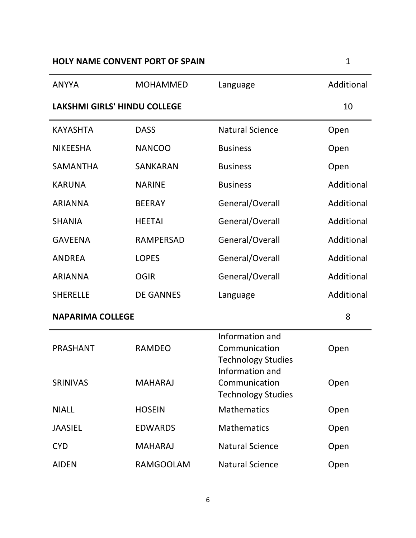## **HOLY NAME CONVENT PORT OF SPAIN** 1

| <b>ANYYA</b>                        | <b>MOHAMMED</b>  | Language                                                                         | Additional |
|-------------------------------------|------------------|----------------------------------------------------------------------------------|------------|
| <b>LAKSHMI GIRLS' HINDU COLLEGE</b> |                  | 10                                                                               |            |
| <b>KAYASHTA</b>                     | <b>DASS</b>      | <b>Natural Science</b>                                                           | Open       |
| <b>NIKEESHA</b>                     | <b>NANCOO</b>    | <b>Business</b>                                                                  | Open       |
| <b>SAMANTHA</b>                     | <b>SANKARAN</b>  | <b>Business</b>                                                                  | Open       |
| <b>KARUNA</b>                       | <b>NARINE</b>    | <b>Business</b>                                                                  | Additional |
| <b>ARIANNA</b>                      | <b>BEERAY</b>    | General/Overall                                                                  | Additional |
| <b>SHANIA</b>                       | <b>HEETAI</b>    | General/Overall                                                                  | Additional |
| <b>GAVEENA</b>                      | <b>RAMPERSAD</b> | General/Overall                                                                  | Additional |
| <b>ANDREA</b>                       | <b>LOPES</b>     | General/Overall                                                                  | Additional |
| <b>ARIANNA</b>                      | <b>OGIR</b>      | General/Overall                                                                  | Additional |
| <b>SHERELLE</b>                     | <b>DE GANNES</b> | Language                                                                         | Additional |
| <b>NAPARIMA COLLEGE</b>             |                  |                                                                                  | 8          |
| <b>PRASHANT</b>                     | <b>RAMDEO</b>    | Information and<br>Communication<br><b>Technology Studies</b><br>Information and | Open       |
| <b>SRINIVAS</b>                     | <b>MAHARAJ</b>   | Communication<br><b>Technology Studies</b>                                       | Open       |
| <b>NIALL</b>                        | <b>HOSEIN</b>    | <b>Mathematics</b>                                                               | Open       |
| <b>JAASIEL</b>                      | <b>EDWARDS</b>   | <b>Mathematics</b>                                                               | Open       |
| <b>CYD</b>                          | <b>MAHARAJ</b>   | <b>Natural Science</b>                                                           | Open       |
| <b>AIDEN</b>                        | <b>RAMGOOLAM</b> | <b>Natural Science</b>                                                           | Open       |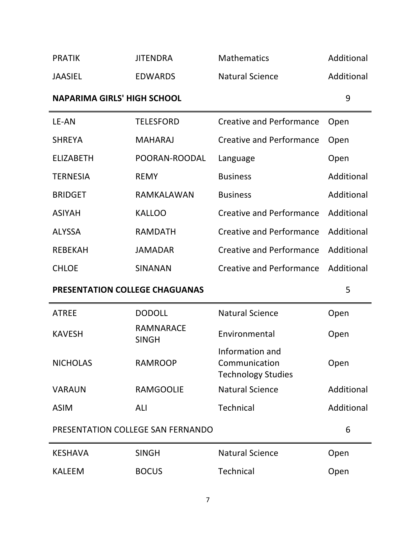| <b>PRATIK</b>                         | <b>JITENDRA</b>                   | <b>Mathematics</b>                                            | Additional |
|---------------------------------------|-----------------------------------|---------------------------------------------------------------|------------|
| <b>JAASIEL</b>                        | <b>EDWARDS</b>                    | <b>Natural Science</b>                                        | Additional |
| <b>NAPARIMA GIRLS' HIGH SCHOOL</b>    |                                   |                                                               | 9          |
| LE-AN                                 | <b>TELESFORD</b>                  | <b>Creative and Performance</b>                               | Open       |
| <b>SHREYA</b>                         | <b>MAHARAJ</b>                    | <b>Creative and Performance</b>                               | Open       |
| <b>ELIZABETH</b>                      | POORAN-ROODAL                     | Language                                                      | Open       |
| <b>TERNESIA</b>                       | <b>REMY</b>                       | <b>Business</b>                                               | Additional |
| <b>BRIDGET</b>                        | RAMKALAWAN                        | <b>Business</b>                                               | Additional |
| <b>ASIYAH</b>                         | <b>KALLOO</b>                     | <b>Creative and Performance</b>                               | Additional |
| <b>ALYSSA</b>                         | <b>RAMDATH</b>                    | <b>Creative and Performance</b>                               | Additional |
| <b>REBEKAH</b>                        | <b>JAMADAR</b>                    | <b>Creative and Performance</b>                               | Additional |
| <b>CHLOE</b>                          | <b>SINANAN</b>                    | <b>Creative and Performance</b>                               | Additional |
| <b>PRESENTATION COLLEGE CHAGUANAS</b> |                                   |                                                               | 5          |
|                                       |                                   |                                                               |            |
| <b>ATREE</b>                          | <b>DODOLL</b>                     | <b>Natural Science</b>                                        | Open       |
| <b>KAVESH</b>                         | <b>RAMNARACE</b><br><b>SINGH</b>  | Environmental                                                 | Open       |
| <b>NICHOLAS</b>                       | <b>RAMROOP</b>                    | Information and<br>Communication<br><b>Technology Studies</b> | Open       |
| <b>VARAUN</b>                         | <b>RAMGOOLIE</b>                  | <b>Natural Science</b>                                        | Additional |
| <b>ASIM</b>                           | ALI                               | <b>Technical</b>                                              | Additional |
|                                       | PRESENTATION COLLEGE SAN FERNANDO |                                                               | 6          |
| <b>KESHAVA</b>                        | <b>SINGH</b>                      | <b>Natural Science</b>                                        | Open       |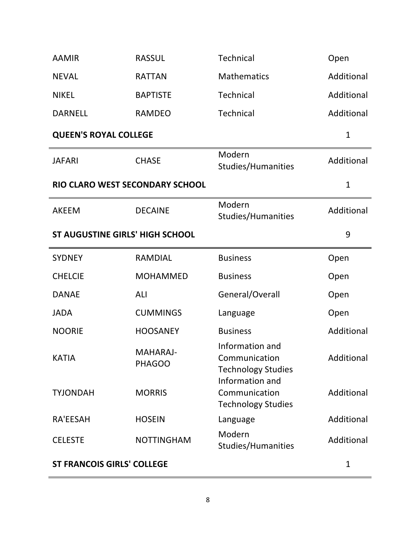| <b>AAMIR</b>                           | <b>RASSUL</b>                    | <b>Technical</b>                                              | Open         |
|----------------------------------------|----------------------------------|---------------------------------------------------------------|--------------|
| <b>NEVAL</b>                           | <b>RATTAN</b>                    | <b>Mathematics</b>                                            | Additional   |
| <b>NIKEL</b>                           | <b>BAPTISTE</b>                  | <b>Technical</b>                                              | Additional   |
| <b>DARNELL</b>                         | <b>RAMDEO</b>                    | <b>Technical</b>                                              | Additional   |
| <b>QUEEN'S ROYAL COLLEGE</b>           |                                  |                                                               | $\mathbf{1}$ |
| <b>JAFARI</b>                          | <b>CHASE</b>                     | Modern<br>Studies/Humanities                                  | Additional   |
| RIO CLARO WEST SECONDARY SCHOOL        |                                  |                                                               | $\mathbf{1}$ |
| <b>AKEEM</b>                           | <b>DECAINE</b>                   | Modern<br>Studies/Humanities                                  | Additional   |
| <b>ST AUGUSTINE GIRLS' HIGH SCHOOL</b> |                                  |                                                               | 9            |
| <b>SYDNEY</b>                          | <b>RAMDIAL</b>                   | <b>Business</b>                                               | Open         |
| <b>CHELCIE</b>                         | <b>MOHAMMED</b>                  | <b>Business</b>                                               | Open         |
| <b>DANAE</b>                           | ALI                              | General/Overall                                               | Open         |
| <b>JADA</b>                            | <b>CUMMINGS</b>                  | Language                                                      | Open         |
| <b>NOORIE</b>                          | <b>HOOSANEY</b>                  | <b>Business</b>                                               | Additional   |
| <b>KATIA</b>                           | <b>MAHARAJ-</b><br><b>PHAGOO</b> | Information and<br>Communication<br><b>Technology Studies</b> | Additional   |
| <b>TYJONDAH</b>                        | <b>MORRIS</b>                    | Information and<br>Communication<br><b>Technology Studies</b> | Additional   |
| RA'EESAH                               | <b>HOSEIN</b>                    | Language                                                      | Additional   |
| <b>CELESTE</b>                         | <b>NOTTINGHAM</b>                | Modern<br>Studies/Humanities                                  | Additional   |
| <b>ST FRANCOIS GIRLS' COLLEGE</b>      |                                  |                                                               | 1            |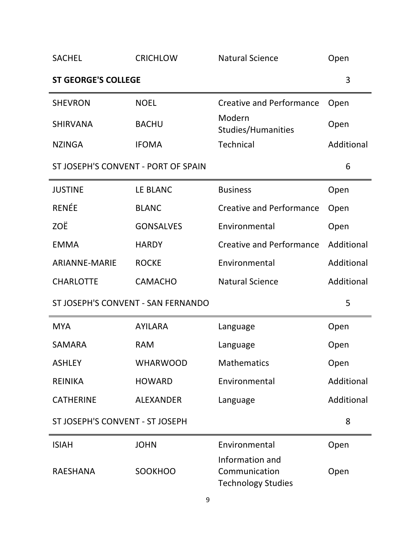| <b>SACHEL</b>                       | <b>CRICHLOW</b>  | <b>Natural Science</b>                                        | Open       |
|-------------------------------------|------------------|---------------------------------------------------------------|------------|
| <b>ST GEORGE'S COLLEGE</b>          |                  |                                                               | 3          |
| <b>SHEVRON</b>                      | <b>NOEL</b>      | <b>Creative and Performance</b>                               | Open       |
| <b>SHIRVANA</b>                     | <b>BACHU</b>     | Modern<br><b>Studies/Humanities</b>                           | Open       |
| <b>NZINGA</b>                       | <b>IFOMA</b>     | <b>Technical</b>                                              | Additional |
| ST JOSEPH'S CONVENT - PORT OF SPAIN |                  |                                                               | 6          |
| <b>JUSTINE</b>                      | LE BLANC         | <b>Business</b>                                               | Open       |
| <b>RENÉE</b>                        | <b>BLANC</b>     | <b>Creative and Performance</b>                               | Open       |
| ZOË                                 | <b>GONSALVES</b> | Environmental                                                 | Open       |
| <b>EMMA</b>                         | <b>HARDY</b>     | <b>Creative and Performance</b>                               | Additional |
| <b>ARIANNE-MARIE</b>                | <b>ROCKE</b>     | Environmental                                                 | Additional |
| <b>CHARLOTTE</b>                    | <b>CAMACHO</b>   | <b>Natural Science</b>                                        | Additional |
| ST JOSEPH'S CONVENT - SAN FERNANDO  |                  |                                                               | 5          |
| <b>MYA</b>                          | <b>AYILARA</b>   | Language                                                      | Open       |
| <b>SAMARA</b>                       | <b>RAM</b>       | Language                                                      | Open       |
| <b>ASHLEY</b>                       | <b>WHARWOOD</b>  | <b>Mathematics</b>                                            | Open       |
| <b>REINIKA</b>                      | <b>HOWARD</b>    | Environmental                                                 | Additional |
| <b>CATHERINE</b>                    | <b>ALEXANDER</b> | Language                                                      | Additional |
| ST JOSEPH'S CONVENT - ST JOSEPH     |                  |                                                               | 8          |
| <b>ISIAH</b>                        | <b>JOHN</b>      | Environmental                                                 | Open       |
| <b>RAESHANA</b>                     | <b>SOOKHOO</b>   | Information and<br>Communication<br><b>Technology Studies</b> | Open       |